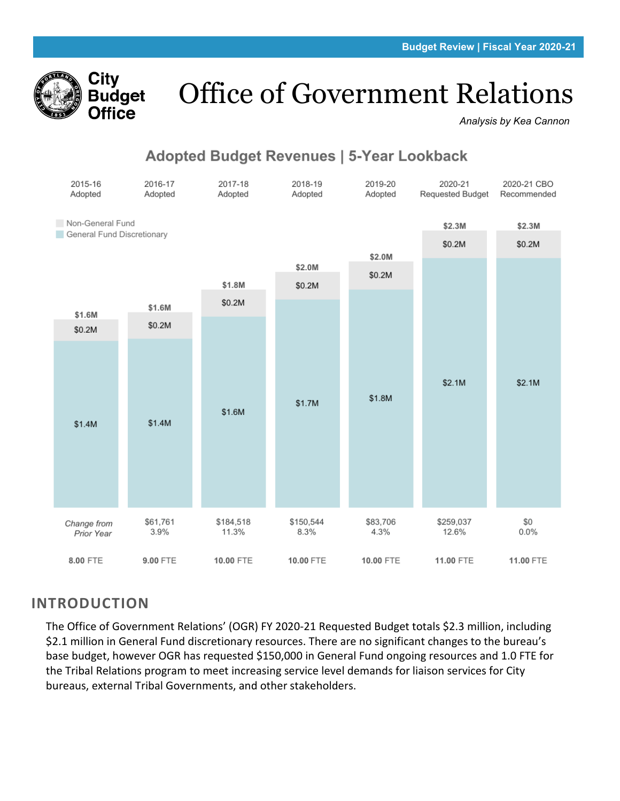

# Office of Government Relations

*Analysis by Kea Cannon*

# **Adopted Budget Revenues | 5-Year Lookback**



### **INTRODUCTION**

The Office of Government Relations' (OGR) FY 2020-21 Requested Budget totals \$2.3 million, including \$2.1 million in General Fund discretionary resources. There are no significant changes to the bureau's base budget, however OGR has requested \$150,000 in General Fund ongoing resources and 1.0 FTE for the Tribal Relations program to meet increasing service level demands for liaison services for City bureaus, external Tribal Governments, and other stakeholders.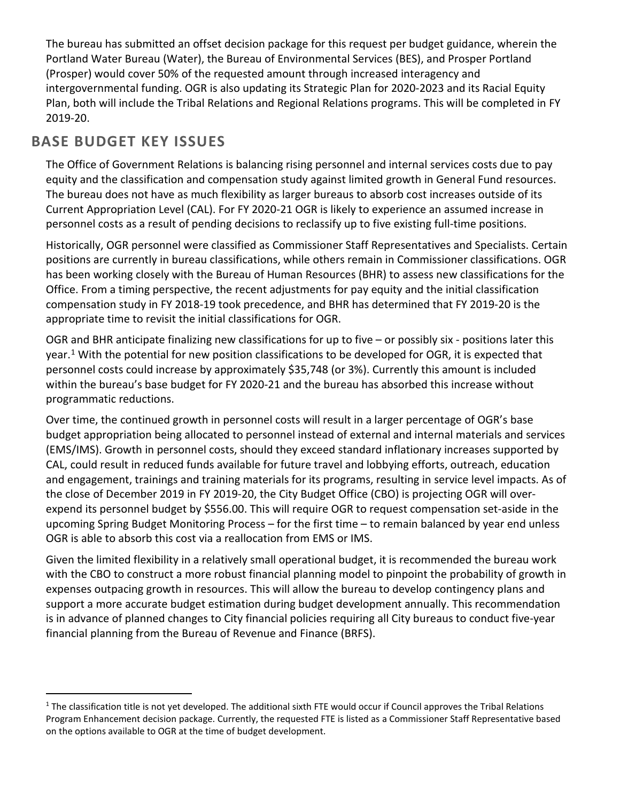The bureau has submitted an offset decision package for this request per budget guidance, wherein the Portland Water Bureau (Water), the Bureau of Environmental Services (BES), and Prosper Portland (Prosper) would cover 50% of the requested amount through increased interagency and intergovernmental funding. OGR is also updating its Strategic Plan for 2020-2023 and its Racial Equity Plan, both will include the Tribal Relations and Regional Relations programs. This will be completed in FY 2019-20.

# **BASE BUDGET KEY ISSUES**

The Office of Government Relations is balancing rising personnel and internal services costs due to pay equity and the classification and compensation study against limited growth in General Fund resources. The bureau does not have as much flexibility as larger bureaus to absorb cost increases outside of its Current Appropriation Level (CAL). For FY 2020-21 OGR is likely to experience an assumed increase in personnel costs as a result of pending decisions to reclassify up to five existing full-time positions.

Historically, OGR personnel were classified as Commissioner Staff Representatives and Specialists. Certain positions are currently in bureau classifications, while others remain in Commissioner classifications. OGR has been working closely with the Bureau of Human Resources (BHR) to assess new classifications for the Office. From a timing perspective, the recent adjustments for pay equity and the initial classification compensation study in FY 2018-19 took precedence, and BHR has determined that FY 2019-20 is the appropriate time to revisit the initial classifications for OGR.

OGR and BHR anticipate finalizing new classifications for up to five – or possibly six - positions later this year.<sup>[1](#page-1-0)</sup> With the potential for new position classifications to be developed for OGR, it is expected that personnel costs could increase by approximately \$35,748 (or 3%). Currently this amount is included within the bureau's base budget for FY 2020-21 and the bureau has absorbed this increase without programmatic reductions.

Over time, the continued growth in personnel costs will result in a larger percentage of OGR's base budget appropriation being allocated to personnel instead of external and internal materials and services (EMS/IMS). Growth in personnel costs, should they exceed standard inflationary increases supported by CAL, could result in reduced funds available for future travel and lobbying efforts, outreach, education and engagement, trainings and training materials for its programs, resulting in service level impacts. As of the close of December 2019 in FY 2019-20, the City Budget Office (CBO) is projecting OGR will overexpend its personnel budget by \$556.00. This will require OGR to request compensation set-aside in the upcoming Spring Budget Monitoring Process – for the first time – to remain balanced by year end unless OGR is able to absorb this cost via a reallocation from EMS or IMS.

Given the limited flexibility in a relatively small operational budget, it is recommended the bureau work with the CBO to construct a more robust financial planning model to pinpoint the probability of growth in expenses outpacing growth in resources. This will allow the bureau to develop contingency plans and support a more accurate budget estimation during budget development annually. This recommendation is in advance of planned changes to City financial policies requiring all City bureaus to conduct five-year financial planning from the Bureau of Revenue and Finance (BRFS).

<span id="page-1-0"></span> $1$  The classification title is not yet developed. The additional sixth FTE would occur if Council approves the Tribal Relations Program Enhancement decision package. Currently, the requested FTE is listed as a Commissioner Staff Representative based on the options available to OGR at the time of budget development.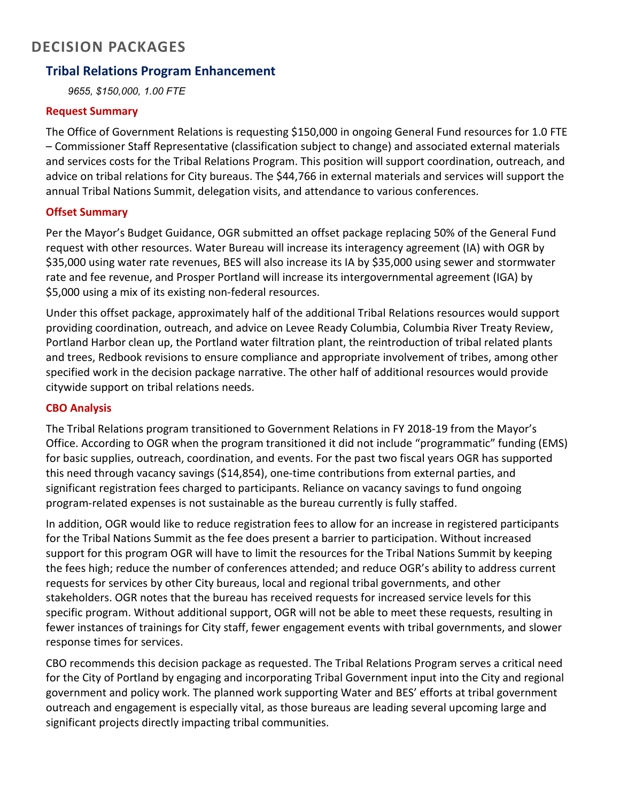## **DECISION PACKAGES**

#### **Tribal Relations Program Enhancement**

*9655, \$150,000, 1.00 FTE*

#### **Request Summary**

The Office of Government Relations is requesting \$150,000 in ongoing General Fund resources for 1.0 FTE – Commissioner Staff Representative (classification subject to change) and associated external materials and services costs for the Tribal Relations Program. This position will support coordination, outreach, and advice on tribal relations for City bureaus. The \$44,766 in external materials and services will support the annual Tribal Nations Summit, delegation visits, and attendance to various conferences.

#### **Offset Summary**

Per the Mayor's Budget Guidance, OGR submitted an offset package replacing 50% of the General Fund request with other resources. Water Bureau will increase its interagency agreement (IA) with OGR by \$35,000 using water rate revenues, BES will also increase its IA by \$35,000 using sewer and stormwater rate and fee revenue, and Prosper Portland will increase its intergovernmental agreement (IGA) by \$5,000 using a mix of its existing non-federal resources.

Under this offset package, approximately half of the additional Tribal Relations resources would support providing coordination, outreach, and advice on Levee Ready Columbia, Columbia River Treaty Review, Portland Harbor clean up, the Portland water filtration plant, the reintroduction of tribal related plants and trees, Redbook revisions to ensure compliance and appropriate involvement of tribes, among other specified work in the decision package narrative. The other half of additional resources would provide citywide support on tribal relations needs.

#### **CBO Analysis**

The Tribal Relations program transitioned to Government Relations in FY 2018-19 from the Mayor's Office. According to OGR when the program transitioned it did not include "programmatic" funding (EMS) for basic supplies, outreach, coordination, and events. For the past two fiscal years OGR has supported this need through vacancy savings (\$14,854), one-time contributions from external parties, and significant registration fees charged to participants. Reliance on vacancy savings to fund ongoing program-related expenses is not sustainable as the bureau currently is fully staffed.

In addition, OGR would like to reduce registration fees to allow for an increase in registered participants for the Tribal Nations Summit as the fee does present a barrier to participation. Without increased support for this program OGR will have to limit the resources for the Tribal Nations Summit by keeping the fees high; reduce the number of conferences attended; and reduce OGR's ability to address current requests for services by other City bureaus, local and regional tribal governments, and other stakeholders. OGR notes that the bureau has received requests for increased service levels for this specific program. Without additional support, OGR will not be able to meet these requests, resulting in fewer instances of trainings for City staff, fewer engagement events with tribal governments, and slower response times for services.

CBO recommends this decision package as requested. The Tribal Relations Program serves a critical need for the City of Portland by engaging and incorporating Tribal Government input into the City and regional government and policy work. The planned work supporting Water and BES' efforts at tribal government outreach and engagement is especially vital, as those bureaus are leading several upcoming large and significant projects directly impacting tribal communities.